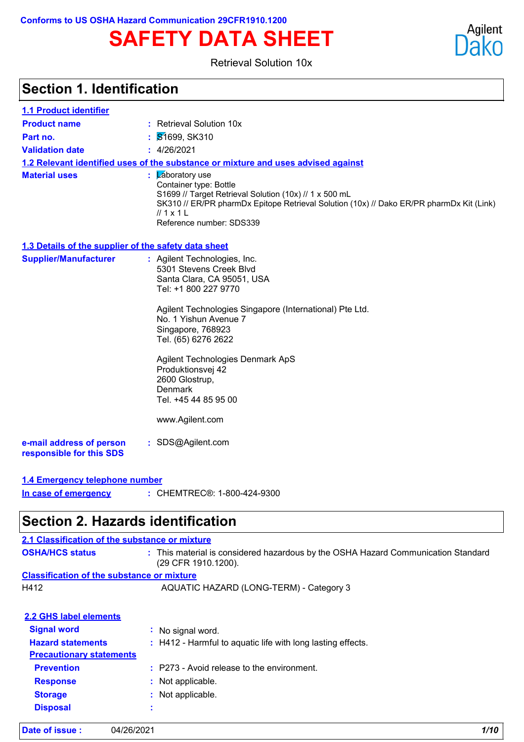# **SAFETY DATA SHEET**

Retrieval Solution 10x

### **Section 1. Identification**

| 1.1 Product identifier                               |                                                                                                                                                                                                                                                                                                                                                                                       |
|------------------------------------------------------|---------------------------------------------------------------------------------------------------------------------------------------------------------------------------------------------------------------------------------------------------------------------------------------------------------------------------------------------------------------------------------------|
| <b>Product name</b>                                  | : Retrieval Solution 10x                                                                                                                                                                                                                                                                                                                                                              |
| Part no.                                             | : 81699, SK310                                                                                                                                                                                                                                                                                                                                                                        |
| <b>Validation date</b>                               | : 4/26/2021                                                                                                                                                                                                                                                                                                                                                                           |
|                                                      | 1.2 Relevant identified uses of the substance or mixture and uses advised against                                                                                                                                                                                                                                                                                                     |
| <b>Material uses</b>                                 | : <b>Z</b> aboratory use<br>Container type: Bottle<br>S1699 // Target Retrieval Solution (10x) // 1 x 500 mL<br>SK310 // ER/PR pharmDx Epitope Retrieval Solution (10x) // Dako ER/PR pharmDx Kit (Link)<br>$\frac{\pi}{2}$ 1 $\pm$<br>Reference number: SDS339                                                                                                                       |
| 1.3 Details of the supplier of the safety data sheet |                                                                                                                                                                                                                                                                                                                                                                                       |
| <b>Supplier/Manufacturer</b>                         | : Agilent Technologies, Inc.<br>5301 Stevens Creek Blvd<br>Santa Clara, CA 95051, USA<br>Tel: +1 800 227 9770<br>Agilent Technologies Singapore (International) Pte Ltd.<br>No. 1 Yishun Avenue 7<br>Singapore, 768923<br>Tel. (65) 6276 2622<br>Agilent Technologies Denmark ApS<br>Produktionsvej 42<br>2600 Glostrup,<br><b>Denmark</b><br>Tel. +45 44 85 95 00<br>www.Agilent.com |
| e-mail address of person<br>responsible for this SDS | : SDS@Agilent.com                                                                                                                                                                                                                                                                                                                                                                     |
| 1.4 Emergency telephone number                       |                                                                                                                                                                                                                                                                                                                                                                                       |
| In case of emergency                                 | : CHEMTREC®: 1-800-424-9300                                                                                                                                                                                                                                                                                                                                                           |

### **Section 2. Hazards identification**

### **Classification of the substance or mixture Signal word :** No signal word. **Hazard statements :** H412 - Harmful to aquatic life with long lasting effects. **Precautionary statements Prevention :** P273 - Avoid release to the environment. **Response :** Not applicable. **Storage :** Not applicable. **Disposal : 2.2 GHS label elements OSHA/HCS status :** This material is considered hazardous by the OSHA Hazard Communication Standard (29 CFR 1910.1200). H412 AQUATIC HAZARD (LONG-TERM) - Category 3 **2.1 Classification of the substance or mixture**

Agilent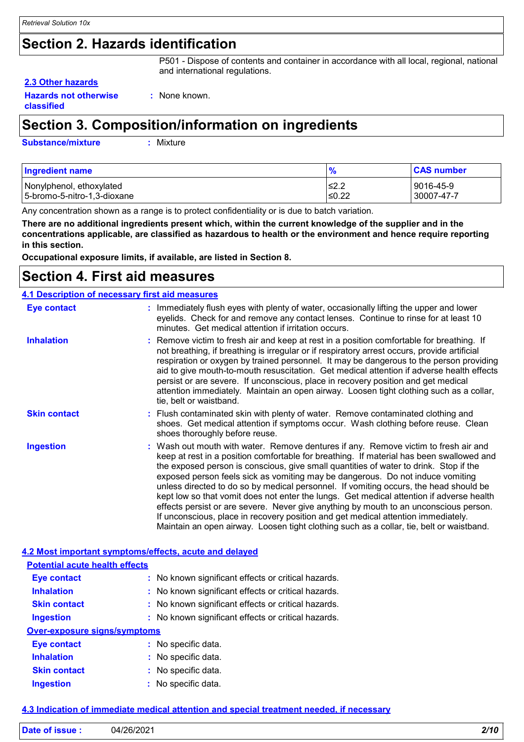### **Section 2. Hazards identification**

P501 - Dispose of contents and container in accordance with all local, regional, national and international regulations.

#### **2.3 Other hazards**

**Hazards not otherwise classified**

**:** None known.

### **Section 3. Composition/information on ingredients**

**Substance/mixture :**

: Mixture

| <b>Ingredient name</b>      | 70      | <b>CAS number</b> |
|-----------------------------|---------|-------------------|
| Nonylphenol, ethoxylated    | ≤2.2    | 9016-45-9         |
| 5-bromo-5-nitro-1,3-dioxane | $≤0.22$ | 30007-47-7        |

Any concentration shown as a range is to protect confidentiality or is due to batch variation.

**There are no additional ingredients present which, within the current knowledge of the supplier and in the concentrations applicable, are classified as hazardous to health or the environment and hence require reporting in this section.**

**Occupational exposure limits, if available, are listed in Section 8.**

### **Section 4. First aid measures**

| 4.1 Description of necessary first aid measures |                                                                                                                                                                                                                                                                                                                                                                                                                                                                                                                                                                                                                                                                                                                                                                                                                           |  |  |
|-------------------------------------------------|---------------------------------------------------------------------------------------------------------------------------------------------------------------------------------------------------------------------------------------------------------------------------------------------------------------------------------------------------------------------------------------------------------------------------------------------------------------------------------------------------------------------------------------------------------------------------------------------------------------------------------------------------------------------------------------------------------------------------------------------------------------------------------------------------------------------------|--|--|
| <b>Eye contact</b>                              | : Immediately flush eyes with plenty of water, occasionally lifting the upper and lower<br>eyelids. Check for and remove any contact lenses. Continue to rinse for at least 10<br>minutes. Get medical attention if irritation occurs.                                                                                                                                                                                                                                                                                                                                                                                                                                                                                                                                                                                    |  |  |
| <b>Inhalation</b>                               | : Remove victim to fresh air and keep at rest in a position comfortable for breathing. If<br>not breathing, if breathing is irregular or if respiratory arrest occurs, provide artificial<br>respiration or oxygen by trained personnel. It may be dangerous to the person providing<br>aid to give mouth-to-mouth resuscitation. Get medical attention if adverse health effects<br>persist or are severe. If unconscious, place in recovery position and get medical<br>attention immediately. Maintain an open airway. Loosen tight clothing such as a collar,<br>tie, belt or waistband.                                                                                                                                                                                                                              |  |  |
| <b>Skin contact</b>                             | : Flush contaminated skin with plenty of water. Remove contaminated clothing and<br>shoes. Get medical attention if symptoms occur. Wash clothing before reuse. Clean<br>shoes thoroughly before reuse.                                                                                                                                                                                                                                                                                                                                                                                                                                                                                                                                                                                                                   |  |  |
| <b>Ingestion</b>                                | : Wash out mouth with water. Remove dentures if any. Remove victim to fresh air and<br>keep at rest in a position comfortable for breathing. If material has been swallowed and<br>the exposed person is conscious, give small quantities of water to drink. Stop if the<br>exposed person feels sick as vomiting may be dangerous. Do not induce vomiting<br>unless directed to do so by medical personnel. If vomiting occurs, the head should be<br>kept low so that vomit does not enter the lungs. Get medical attention if adverse health<br>effects persist or are severe. Never give anything by mouth to an unconscious person.<br>If unconscious, place in recovery position and get medical attention immediately.<br>Maintain an open airway. Loosen tight clothing such as a collar, tie, belt or waistband. |  |  |

#### **4.2 Most important symptoms/effects, acute and delayed Potential acute health effects**

| Potential acute nealth effects      |                                                     |
|-------------------------------------|-----------------------------------------------------|
| <b>Eye contact</b>                  | : No known significant effects or critical hazards. |
| <b>Inhalation</b>                   | : No known significant effects or critical hazards. |
| <b>Skin contact</b>                 | : No known significant effects or critical hazards. |
| <b>Ingestion</b>                    | : No known significant effects or critical hazards. |
| <b>Over-exposure signs/symptoms</b> |                                                     |
| <b>Eye contact</b>                  | : No specific data.                                 |
| <b>Inhalation</b>                   | : No specific data.                                 |
| <b>Skin contact</b>                 | : No specific data.                                 |
| <b>Ingestion</b>                    | No specific data.                                   |

#### **4.3 Indication of immediate medical attention and special treatment needed, if necessary**

| $\mathbf{R}$<br>04/26/2021<br>$-$ |  |  | .<br><b><i>DIA</i></b><br>ч. |
|-----------------------------------|--|--|------------------------------|
|-----------------------------------|--|--|------------------------------|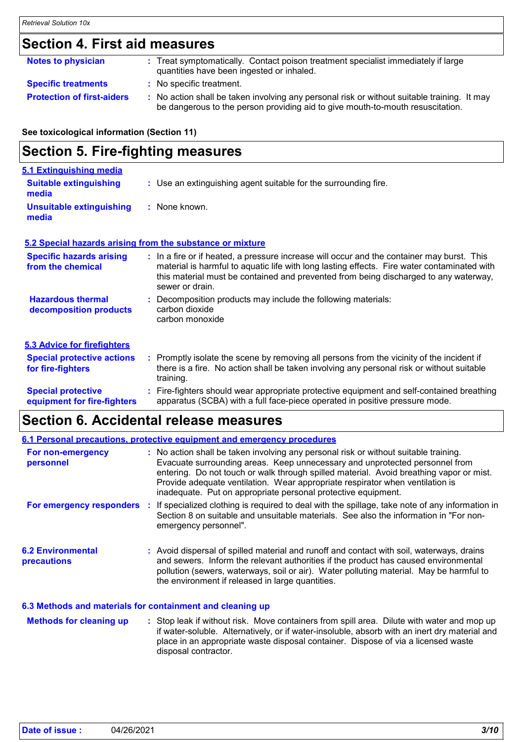### **Section 4. First aid measures**

| <b>Notes to physician</b>         | : Treat symptomatically. Contact poison treatment specialist immediately if large<br>quantities have been ingested or inhaled.                                                |
|-----------------------------------|-------------------------------------------------------------------------------------------------------------------------------------------------------------------------------|
| <b>Specific treatments</b>        | : No specific treatment.                                                                                                                                                      |
| <b>Protection of first-aiders</b> | : No action shall be taken involving any personal risk or without suitable training. It may<br>be dangerous to the person providing aid to give mouth-to-mouth resuscitation. |

**See toxicological information (Section 11)**

### **Section 5. Fire-fighting measures**

| 5.1 Extinguishing media                                   |                                                                                                                                                                                                                                                                                                      |
|-----------------------------------------------------------|------------------------------------------------------------------------------------------------------------------------------------------------------------------------------------------------------------------------------------------------------------------------------------------------------|
| <b>Suitable extinguishing</b><br>media                    | : Use an extinguishing agent suitable for the surrounding fire.                                                                                                                                                                                                                                      |
| <b>Unsuitable extinguishing</b><br>media                  | : None known.                                                                                                                                                                                                                                                                                        |
| 5.2 Special hazards arising from the substance or mixture |                                                                                                                                                                                                                                                                                                      |
| <b>Specific hazards arising</b><br>from the chemical      | : In a fire or if heated, a pressure increase will occur and the container may burst. This<br>material is harmful to aquatic life with long lasting effects. Fire water contaminated with<br>this material must be contained and prevented from being discharged to any waterway,<br>sewer or drain. |
| <b>Hazardous thermal</b><br>decomposition products        | : Decomposition products may include the following materials:<br>carbon dioxide<br>carbon monoxide                                                                                                                                                                                                   |
| <b>5.3 Advice for firefighters</b>                        |                                                                                                                                                                                                                                                                                                      |
| <b>Special protective actions</b><br>for fire-fighters    | : Promptly isolate the scene by removing all persons from the vicinity of the incident if<br>there is a fire. No action shall be taken involving any personal risk or without suitable<br>training.                                                                                                  |
| <b>Special protective</b><br>equipment for fire-fighters  | : Fire-fighters should wear appropriate protective equipment and self-contained breathing<br>apparatus (SCBA) with a full face-piece operated in positive pressure mode.                                                                                                                             |

### **Section 6. Accidental release measures**

|                                                           | 6.1 Personal precautions, protective equipment and emergency procedures                                                                                                                                                                                                                                                                                                                                          |
|-----------------------------------------------------------|------------------------------------------------------------------------------------------------------------------------------------------------------------------------------------------------------------------------------------------------------------------------------------------------------------------------------------------------------------------------------------------------------------------|
| For non-emergency<br>personnel                            | : No action shall be taken involving any personal risk or without suitable training.<br>Evacuate surrounding areas. Keep unnecessary and unprotected personnel from<br>entering. Do not touch or walk through spilled material. Avoid breathing vapor or mist.<br>Provide adequate ventilation. Wear appropriate respirator when ventilation is<br>inadequate. Put on appropriate personal protective equipment. |
| For emergency responders                                  | : If specialized clothing is required to deal with the spillage, take note of any information in<br>Section 8 on suitable and unsuitable materials. See also the information in "For non-<br>emergency personnel".                                                                                                                                                                                               |
| <b>6.2 Environmental</b><br><b>precautions</b>            | : Avoid dispersal of spilled material and runoff and contact with soil, waterways, drains<br>and sewers. Inform the relevant authorities if the product has caused environmental<br>pollution (sewers, waterways, soil or air). Water polluting material. May be harmful to<br>the environment if released in large quantities.                                                                                  |
| 6.3 Methods and materials for containment and cleaning up |                                                                                                                                                                                                                                                                                                                                                                                                                  |
| <b>Methods for cleaning up</b>                            | : Stop leak if without risk. Move containers from spill area. Dilute with water and mop up<br>if water-soluble. Alternatively, or if water-insoluble, absorb with an inert dry material and<br>place in an appropriate waste disposal container. Dispose of via a licensed waste<br>disposal contractor.                                                                                                         |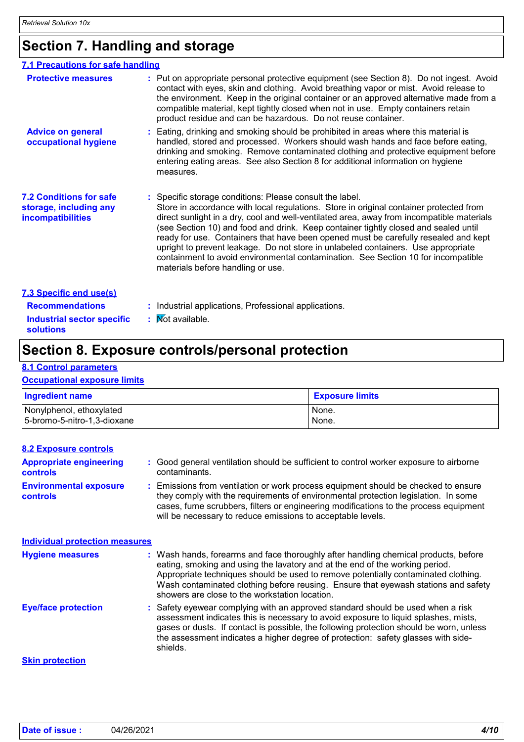### **Section 7. Handling and storage**

| 7.1 Precautions for safe handling                                             |                                                                                                                                                                                                                                                                                                                                                                                                                                                                                                                                                                                                                                              |
|-------------------------------------------------------------------------------|----------------------------------------------------------------------------------------------------------------------------------------------------------------------------------------------------------------------------------------------------------------------------------------------------------------------------------------------------------------------------------------------------------------------------------------------------------------------------------------------------------------------------------------------------------------------------------------------------------------------------------------------|
| <b>Protective measures</b>                                                    | : Put on appropriate personal protective equipment (see Section 8). Do not ingest. Avoid<br>contact with eyes, skin and clothing. Avoid breathing vapor or mist. Avoid release to<br>the environment. Keep in the original container or an approved alternative made from a<br>compatible material, kept tightly closed when not in use. Empty containers retain<br>product residue and can be hazardous. Do not reuse container.                                                                                                                                                                                                            |
| <b>Advice on general</b><br>occupational hygiene                              | Eating, drinking and smoking should be prohibited in areas where this material is<br>handled, stored and processed. Workers should wash hands and face before eating,<br>drinking and smoking. Remove contaminated clothing and protective equipment before<br>entering eating areas. See also Section 8 for additional information on hygiene<br>measures.                                                                                                                                                                                                                                                                                  |
| <b>7.2 Conditions for safe</b><br>storage, including any<br>incompatibilities | : Specific storage conditions: Please consult the label.<br>Store in accordance with local regulations. Store in original container protected from<br>direct sunlight in a dry, cool and well-ventilated area, away from incompatible materials<br>(see Section 10) and food and drink. Keep container tightly closed and sealed until<br>ready for use. Containers that have been opened must be carefully resealed and kept<br>upright to prevent leakage. Do not store in unlabeled containers. Use appropriate<br>containment to avoid environmental contamination. See Section 10 for incompatible<br>materials before handling or use. |
| 7.3 Specific end use(s)                                                       |                                                                                                                                                                                                                                                                                                                                                                                                                                                                                                                                                                                                                                              |
| <b>Recommendations</b>                                                        | Industrial applications, Professional applications.                                                                                                                                                                                                                                                                                                                                                                                                                                                                                                                                                                                          |
| <b>Industrial sector specific</b><br><b>solutions</b>                         | <b>Not available.</b>                                                                                                                                                                                                                                                                                                                                                                                                                                                                                                                                                                                                                        |

### **Section 8. Exposure controls/personal protection**

#### **8.1 Control parameters**

#### **Occupational exposure limits**

| <b>Ingredient name</b>      | <b>Exposure limits</b> |
|-----------------------------|------------------------|
| Nonylphenol, ethoxylated    | None.                  |
| 5-bromo-5-nitro-1,3-dioxane | None.                  |

| <b>8.2 Exposure controls</b>                      |                                                                                                                                                                                                                                                                                                                                                                                                   |
|---------------------------------------------------|---------------------------------------------------------------------------------------------------------------------------------------------------------------------------------------------------------------------------------------------------------------------------------------------------------------------------------------------------------------------------------------------------|
| <b>Appropriate engineering</b><br><b>controls</b> | : Good general ventilation should be sufficient to control worker exposure to airborne<br>contaminants.                                                                                                                                                                                                                                                                                           |
| <b>Environmental exposure</b><br><b>controls</b>  | : Emissions from ventilation or work process equipment should be checked to ensure<br>they comply with the requirements of environmental protection legislation. In some<br>cases, fume scrubbers, filters or engineering modifications to the process equipment<br>will be necessary to reduce emissions to acceptable levels.                                                                   |
| <b>Individual protection measures</b>             |                                                                                                                                                                                                                                                                                                                                                                                                   |
| <b>Hygiene measures</b>                           | : Wash hands, forearms and face thoroughly after handling chemical products, before<br>eating, smoking and using the lavatory and at the end of the working period.<br>Appropriate techniques should be used to remove potentially contaminated clothing.<br>Wash contaminated clothing before reusing. Ensure that eyewash stations and safety<br>showers are close to the workstation location. |
| <b>Eye/face protection</b>                        | : Safety eyewear complying with an approved standard should be used when a risk<br>assessment indicates this is necessary to avoid exposure to liquid splashes, mists,<br>gases or dusts. If contact is possible, the following protection should be worn, unless<br>the assessment indicates a higher degree of protection: safety glasses with side-<br>shields.                                |
| <b>Skin protection</b>                            |                                                                                                                                                                                                                                                                                                                                                                                                   |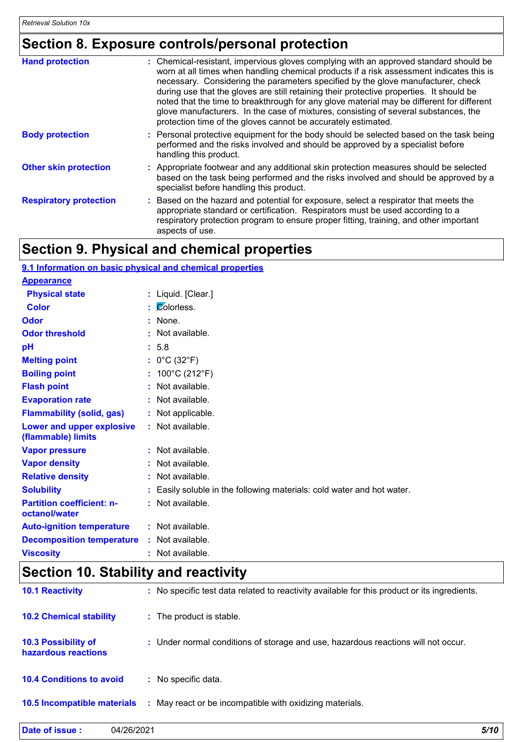### **Section 8. Exposure controls/personal protection**

| <b>Hand protection</b>        | : Chemical-resistant, impervious gloves complying with an approved standard should be<br>worn at all times when handling chemical products if a risk assessment indicates this is<br>necessary. Considering the parameters specified by the glove manufacturer, check<br>during use that the gloves are still retaining their protective properties. It should be<br>noted that the time to breakthrough for any glove material may be different for different<br>glove manufacturers. In the case of mixtures, consisting of several substances, the<br>protection time of the gloves cannot be accurately estimated. |
|-------------------------------|------------------------------------------------------------------------------------------------------------------------------------------------------------------------------------------------------------------------------------------------------------------------------------------------------------------------------------------------------------------------------------------------------------------------------------------------------------------------------------------------------------------------------------------------------------------------------------------------------------------------|
| <b>Body protection</b>        | : Personal protective equipment for the body should be selected based on the task being<br>performed and the risks involved and should be approved by a specialist before<br>handling this product.                                                                                                                                                                                                                                                                                                                                                                                                                    |
| <b>Other skin protection</b>  | : Appropriate footwear and any additional skin protection measures should be selected<br>based on the task being performed and the risks involved and should be approved by a<br>specialist before handling this product.                                                                                                                                                                                                                                                                                                                                                                                              |
| <b>Respiratory protection</b> | Based on the hazard and potential for exposure, select a respirator that meets the<br>appropriate standard or certification. Respirators must be used according to a<br>respiratory protection program to ensure proper fitting, training, and other important<br>aspects of use.                                                                                                                                                                                                                                                                                                                                      |

### **Section 9. Physical and chemical properties**

| 9.1 Information on basic physical and chemical properties |                                                                        |
|-----------------------------------------------------------|------------------------------------------------------------------------|
| <b>Appearance</b>                                         |                                                                        |
| <b>Physical state</b>                                     | : Liquid. [Clear.]                                                     |
| <b>Color</b>                                              | $\mathcal{C}$ Olorless.                                                |
| Odor                                                      | $:$ None.                                                              |
| <b>Odor threshold</b>                                     | $:$ Not available.                                                     |
| pH                                                        | : 5.8                                                                  |
| <b>Melting point</b>                                      | : $0^{\circ}$ C (32 $^{\circ}$ F)                                      |
| <b>Boiling point</b>                                      | : $100^{\circ}$ C (212 $^{\circ}$ F)                                   |
| <b>Flash point</b>                                        | : Not available.                                                       |
| <b>Evaporation rate</b>                                   | : Not available.                                                       |
| <b>Flammability (solid, gas)</b>                          | : Not applicable.                                                      |
| <b>Lower and upper explosive</b><br>(flammable) limits    | $:$ Not available.                                                     |
| <b>Vapor pressure</b>                                     | : Not available.                                                       |
| <b>Vapor density</b>                                      | : Not available.                                                       |
| <b>Relative density</b>                                   | : Not available.                                                       |
| <b>Solubility</b>                                         | : Easily soluble in the following materials: cold water and hot water. |
| <b>Partition coefficient: n-</b><br>octanol/water         | : Not available.                                                       |
| <b>Auto-ignition temperature</b>                          | : Not available.                                                       |
| <b>Decomposition temperature</b>                          | : Not available.                                                       |
| <b>Viscosity</b>                                          | : Not available.                                                       |
|                                                           |                                                                        |

# **Section 10. Stability and reactivity**

| <b>10.1 Reactivity</b>                            | : No specific test data related to reactivity available for this product or its ingredients. |
|---------------------------------------------------|----------------------------------------------------------------------------------------------|
| <b>10.2 Chemical stability</b>                    | : The product is stable.                                                                     |
| <b>10.3 Possibility of</b><br>hazardous reactions | : Under normal conditions of storage and use, hazardous reactions will not occur.            |
| <b>10.4 Conditions to avoid</b>                   | : No specific data.                                                                          |
| 10.5 Incompatible materials                       | : May react or be incompatible with oxidizing materials.                                     |

| Date of issue : | 04/26/2021 | 5/10 |
|-----------------|------------|------|
|                 |            |      |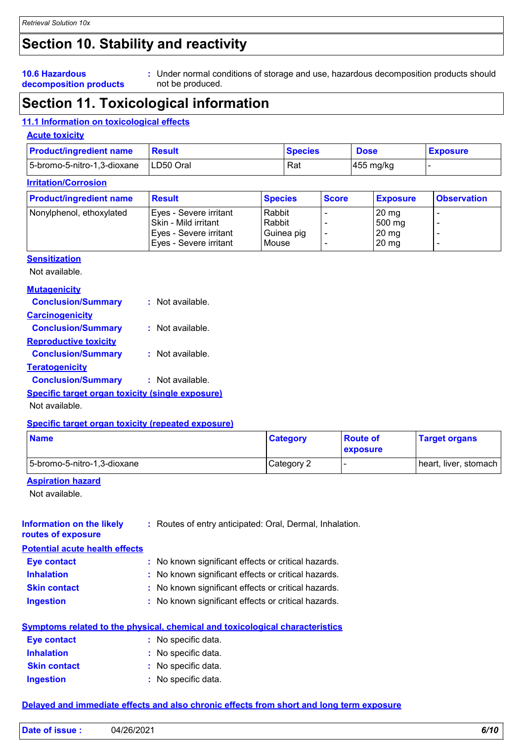# **Section 10. Stability and reactivity**

#### **10.6 Hazardous decomposition products**

Under normal conditions of storage and use, hazardous decomposition products should **:** not be produced.

### **Section 11. Toxicological information**

#### **11.1 Information on toxicological effects**

#### **Acute toxicity**

| <b>Product/ingredient name</b> | <b>Result</b> | <b>Species</b> | <b>Dose</b>           | <b>Exposure</b> |
|--------------------------------|---------------|----------------|-----------------------|-----------------|
| 5-bromo-5-nitro-1,3-dioxane    | ILD50 Oral    | Rat            | $ 455 \text{ mg/kg} $ |                 |

### **Irritation/Corrosion**

| <b>Product/ingredient name</b> | <b>Result</b>               | <b>Species</b> | <b>Score</b> | <b>Exposure</b>  | <b>Observation</b> |
|--------------------------------|-----------------------------|----------------|--------------|------------------|--------------------|
| Nonylphenol, ethoxylated       | Eyes - Severe irritant      | Rabbit         |              | $20 \text{ mg}$  |                    |
|                                | <b>Skin - Mild irritant</b> | Rabbit         |              | $500 \text{ mg}$ |                    |
|                                | Eyes - Severe irritant      | Guinea pig     |              | $20 \text{ mg}$  |                    |
|                                | Eyes - Severe irritant      | Mouse          |              | $20 \text{ mg}$  |                    |

#### **Sensitization**

Not available.

#### **Mutagenicity**

| <b>Conclusion/Summary</b>                               | $:$ Not available. |
|---------------------------------------------------------|--------------------|
| <b>Carcinogenicity</b>                                  |                    |
| <b>Conclusion/Summary</b>                               | $:$ Not available. |
| <b>Reproductive toxicity</b>                            |                    |
| <b>Conclusion/Summary</b>                               | : Not available.   |
| <b>Teratogenicity</b>                                   |                    |
| <b>Conclusion/Summary</b>                               | $:$ Not available. |
| <b>Specific target organ toxicity (single exposure)</b> |                    |

Not available.

#### **Specific target organ toxicity (repeated exposure)**

| <b>Name</b>                 | <b>Category</b> | <b>Route of</b><br><b>exposure</b> | <b>Target organs</b>  |
|-----------------------------|-----------------|------------------------------------|-----------------------|
| 5-bromo-5-nitro-1,3-dioxane | Category 2      |                                    | heart, liver, stomach |

#### **Aspiration hazard**

Not available.

| <b>Information on the likely</b><br>routes of exposure | : Routes of entry anticipated: Oral, Dermal, Inhalation. |
|--------------------------------------------------------|----------------------------------------------------------|
| <b>Potential acute health effects</b>                  |                                                          |
| <b>Eye contact</b>                                     | : No known significant effects or critical hazards.      |
| <b>Inhalation</b>                                      | : No known significant effects or critical hazards.      |
| <b>Skin contact</b>                                    | : No known significant effects or critical hazards.      |
| <b>Ingestion</b>                                       | : No known significant effects or critical hazards.      |
|                                                        |                                                          |

|                     | <u>Symptoms related to the physical, chemical and toxicological characteristics</u> |  |  |  |  |
|---------------------|-------------------------------------------------------------------------------------|--|--|--|--|
| Eye contact         | : No specific data.                                                                 |  |  |  |  |
| <b>Inhalation</b>   | : No specific data.                                                                 |  |  |  |  |
| <b>Skin contact</b> | : No specific data.                                                                 |  |  |  |  |

#### **Ingestion** No specific data. **:**

#### **Delayed and immediate effects and also chronic effects from short and long term exposure**

| <b>Date</b><br>04/26/2021<br>$\overline{1}$<br>∛issue ∶<br>v/ |
|---------------------------------------------------------------|
|---------------------------------------------------------------|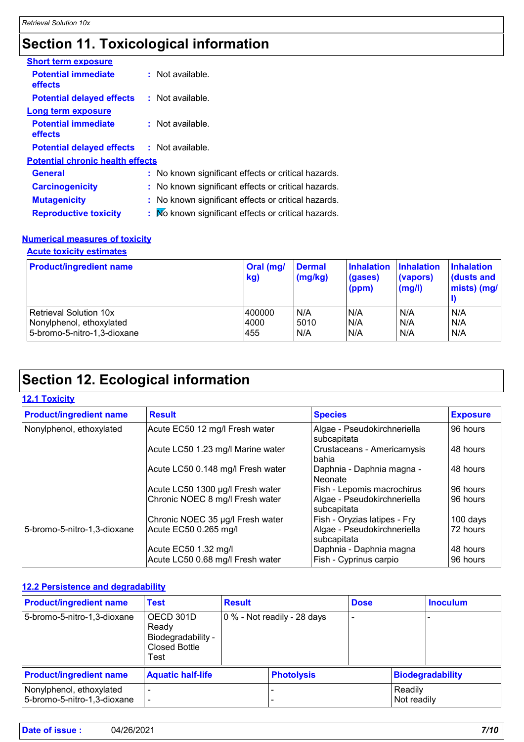### **Section 11. Toxicological information**

| <b>Short term exposure</b>              |                                                     |
|-----------------------------------------|-----------------------------------------------------|
| <b>Potential immediate</b><br>effects   | $:$ Not available.                                  |
| <b>Potential delayed effects</b>        | : Not available.                                    |
| Long term exposure                      |                                                     |
| <b>Potential immediate</b><br>effects   | $:$ Not available.                                  |
| <b>Potential delayed effects</b>        | : Not available.                                    |
| <b>Potential chronic health effects</b> |                                                     |
| General                                 | : No known significant effects or critical hazards. |
| <b>Carcinogenicity</b>                  | : No known significant effects or critical hazards. |
| <b>Mutagenicity</b>                     | : No known significant effects or critical hazards. |
| <b>Reproductive toxicity</b>            | : Mo known significant effects or critical hazards. |
|                                         |                                                     |

#### **Numerical measures of toxicity**

**Acute toxicity estimates**

| <b>Product/ingredient name</b> | Oral (mg/<br>kg) | <b>Dermal</b><br>(mg/kg) | <b>Inhalation</b><br>(gases)<br>(ppm) | Inhalation<br>(vapors)<br>(mg/l) | <b>Inhalation</b><br>dusts and<br>mists) (mg/ |
|--------------------------------|------------------|--------------------------|---------------------------------------|----------------------------------|-----------------------------------------------|
| <b>Retrieval Solution 10x</b>  | 400000           | N/A                      | N/A                                   | N/A                              | N/A                                           |
| Nonylphenol, ethoxylated       | 4000             | 5010                     | N/A                                   | N/A                              | N/A                                           |
| 5-bromo-5-nitro-1,3-dioxane    | 455              | N/A                      | N/A                                   | N/A                              | N/A                                           |

## **Section 12. Ecological information**

#### **12.1 Toxicity**

| <b>Product/ingredient name</b> | <b>Result</b>                     | <b>Species</b>                             | <b>Exposure</b> |
|--------------------------------|-----------------------------------|--------------------------------------------|-----------------|
| Nonylphenol, ethoxylated       | Acute EC50 12 mg/l Fresh water    | Algae - Pseudokirchneriella<br>subcapitata | 96 hours        |
|                                | Acute LC50 1.23 mg/l Marine water | Crustaceans - Americamysis<br>bahia        | 48 hours        |
|                                | Acute LC50 0.148 mg/l Fresh water | Daphnia - Daphnia magna -<br>Neonate       | 48 hours        |
|                                | Acute LC50 1300 µg/l Fresh water  | Fish - Lepomis macrochirus                 | 96 hours        |
|                                | Chronic NOEC 8 mg/l Fresh water   | Algae - Pseudokirchneriella<br>subcapitata | 96 hours        |
|                                | Chronic NOEC 35 µg/l Fresh water  | Fish - Oryzias latipes - Fry               | 100 days        |
| 5-bromo-5-nitro-1,3-dioxane    | Acute EC50 0.265 mg/l             | Algae - Pseudokirchneriella<br>subcapitata | 72 hours        |
|                                | Acute EC50 1.32 mg/l              | Daphnia - Daphnia magna                    | 48 hours        |
|                                | Acute LC50 0.68 mg/l Fresh water  | Fish - Cyprinus carpio                     | 96 hours        |

### **12.2 Persistence and degradability**

| <b>Product/ingredient name</b>                          | <b>Test</b>                                                              | <b>Result</b> |                             | <b>Dose</b> |                        | <b>Inoculum</b>         |  |
|---------------------------------------------------------|--------------------------------------------------------------------------|---------------|-----------------------------|-------------|------------------------|-------------------------|--|
| 5-bromo-5-nitro-1,3-dioxane                             | OECD 301D<br>Ready<br>Biodegradability -<br><b>Closed Bottle</b><br>Test |               | 0 % - Not readily - 28 days |             |                        |                         |  |
| <b>Product/ingredient name</b>                          | <b>Aquatic half-life</b>                                                 |               | <b>Photolysis</b>           |             |                        | <b>Biodegradability</b> |  |
| Nonylphenol, ethoxylated<br>5-bromo-5-nitro-1,3-dioxane |                                                                          |               |                             |             | Readily<br>Not readily |                         |  |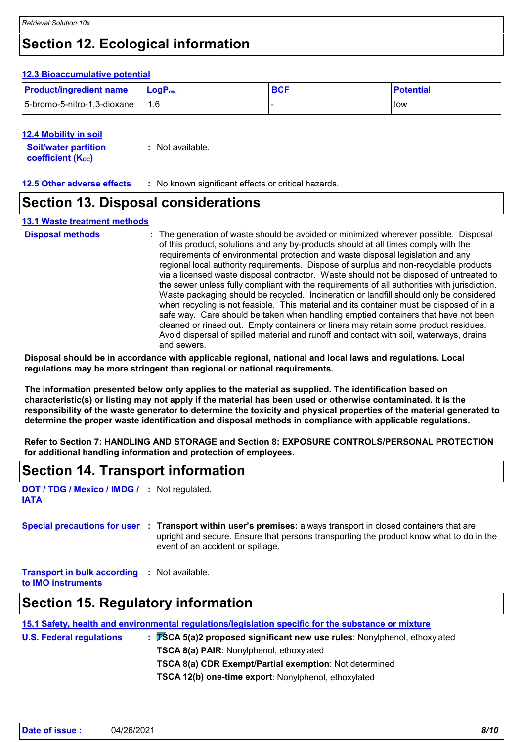### **Section 12. Ecological information**

#### **12.3 Bioaccumulative potential**

| <b>Product/ingredient name</b> | <b>⊥Lo</b> aP <sub>ow</sub> | <b>BCF</b> | <b>Potential</b> |
|--------------------------------|-----------------------------|------------|------------------|
| 5-bromo-5-nitro-1,3-dioxane    | 1.6                         |            | low              |

#### **12.4 Mobility in soil**

| <b>Soil/water partition</b> | : Not available. |
|-----------------------------|------------------|
| <b>coefficient (Koc)</b>    |                  |

**12.5 Other adverse effects :** No known significant effects or critical hazards.

### **Section 13. Disposal considerations**

#### **13.1 Waste treatment methods**

| <b>Disposal methods</b> | : The generation of waste should be avoided or minimized wherever possible. Disposal<br>of this product, solutions and any by-products should at all times comply with the<br>requirements of environmental protection and waste disposal legislation and any<br>regional local authority requirements. Dispose of surplus and non-recyclable products<br>via a licensed waste disposal contractor. Waste should not be disposed of untreated to<br>the sewer unless fully compliant with the requirements of all authorities with jurisdiction.<br>Waste packaging should be recycled. Incineration or landfill should only be considered<br>when recycling is not feasible. This material and its container must be disposed of in a<br>safe way. Care should be taken when handling emptied containers that have not been<br>cleaned or rinsed out. Empty containers or liners may retain some product residues.<br>Avoid dispersal of spilled material and runoff and contact with soil, waterways, drains |
|-------------------------|----------------------------------------------------------------------------------------------------------------------------------------------------------------------------------------------------------------------------------------------------------------------------------------------------------------------------------------------------------------------------------------------------------------------------------------------------------------------------------------------------------------------------------------------------------------------------------------------------------------------------------------------------------------------------------------------------------------------------------------------------------------------------------------------------------------------------------------------------------------------------------------------------------------------------------------------------------------------------------------------------------------|
|                         | and sewers.                                                                                                                                                                                                                                                                                                                                                                                                                                                                                                                                                                                                                                                                                                                                                                                                                                                                                                                                                                                                    |

**Disposal should be in accordance with applicable regional, national and local laws and regulations. Local regulations may be more stringent than regional or national requirements.**

**The information presented below only applies to the material as supplied. The identification based on characteristic(s) or listing may not apply if the material has been used or otherwise contaminated. It is the responsibility of the waste generator to determine the toxicity and physical properties of the material generated to determine the proper waste identification and disposal methods in compliance with applicable regulations.**

**Refer to Section 7: HANDLING AND STORAGE and Section 8: EXPOSURE CONTROLS/PERSONAL PROTECTION for additional handling information and protection of employees.**

### **Section 14. Transport information**

**DOT / TDG / Mexico / IMDG / :** Not regulated. **IATA**

**Special precautions for user Transport within user's premises:** always transport in closed containers that are **:** upright and secure. Ensure that persons transporting the product know what to do in the event of an accident or spillage.

**Transport in bulk according :** Not available.

**to IMO instruments**

### **Section 15. Regulatory information**

| $\therefore$ <b>FSCA 5(a)2 proposed significant new use rules</b> : Nonylphenol, ethoxylated |                                                                                                     |
|----------------------------------------------------------------------------------------------|-----------------------------------------------------------------------------------------------------|
| <b>TSCA 8(a) PAIR: Nonylphenol, ethoxylated</b>                                              |                                                                                                     |
| <b>TSCA 8(a) CDR Exempt/Partial exemption:</b> Not determined                                |                                                                                                     |
|                                                                                              | 15.1 Safety, health and environmental regulations/legislation specific for the substance or mixture |

**TSCA 12(b) one-time export**: Nonylphenol, ethoxylated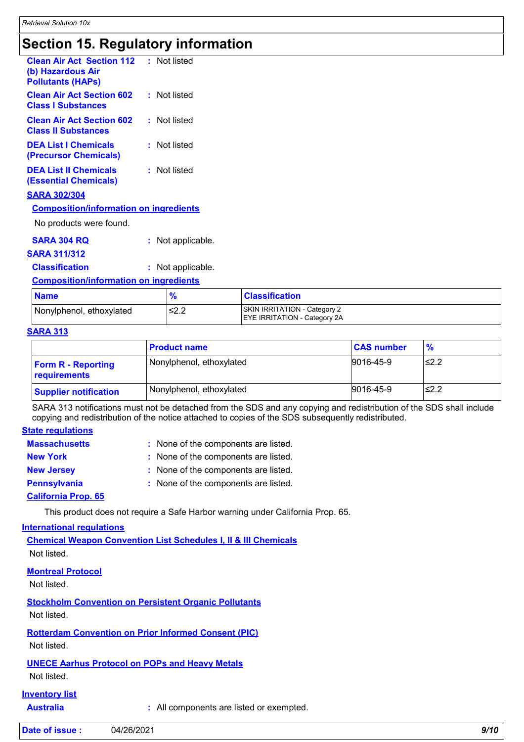### **Section 15. Regulatory information**

| <b>Clean Air Act Section 112</b><br>(b) Hazardous Air<br><b>Pollutants (HAPs)</b> | : Not listed |
|-----------------------------------------------------------------------------------|--------------|
| <b>Clean Air Act Section 602</b><br><b>Class I Substances</b>                     | : Not listed |
| <b>Clean Air Act Section 602</b><br><b>Class II Substances</b>                    | : Not listed |
| <b>DEA List I Chemicals</b><br>(Precursor Chemicals)                              | : Not listed |
| <b>DEA List II Chemicals</b><br><b>(Essential Chemicals)</b>                      | : Not listed |
| <b>SARA 302/304</b>                                                               |              |
| <b>Composition/information on ingredients</b>                                     |              |

No products were found.

**SARA 304 RQ :** Not applicable.

#### **SARA 311/312**

**Classification :** Not applicable.

#### **Composition/information on ingredients**

| <b>Name</b>              |              | <b>Classification</b>                                                      |
|--------------------------|--------------|----------------------------------------------------------------------------|
| Nonylphenol, ethoxylated | و وے<br>24.Z | <b>SKIN IRRITATION - Category 2</b><br><b>EYE IRRITATION - Category 2A</b> |

#### **SARA 313**

|                                           | <b>Product name</b>      | <b>CAS number</b> | $\frac{9}{6}$ |
|-------------------------------------------|--------------------------|-------------------|---------------|
| <b>Form R - Reporting</b><br>requirements | Nonylphenol, ethoxylated | 9016-45-9         | l≤2.2         |
| <b>Supplier notification</b>              | Nonylphenol, ethoxylated | 9016-45-9         | l≤2.2         |

SARA 313 notifications must not be detached from the SDS and any copying and redistribution of the SDS shall include copying and redistribution of the notice attached to copies of the SDS subsequently redistributed.

#### **State regulations**

| <b>Massachusetts</b> | : None of the components are listed. |
|----------------------|--------------------------------------|
| <b>New York</b>      | : None of the components are listed. |
| <b>New Jersey</b>    | : None of the components are listed. |
| <b>Pennsylvania</b>  | : None of the components are listed. |
|                      |                                      |

#### **California Prop. 65**

This product does not require a Safe Harbor warning under California Prop. 65.

#### **International regulations**

**Chemical Weapon Convention List Schedules I, II & III Chemicals** Not listed.

#### **Montreal Protocol**

Not listed.

**Stockholm Convention on Persistent Organic Pollutants**

Not listed.

**Rotterdam Convention on Prior Informed Consent (PIC)**

Not listed.

#### **UNECE Aarhus Protocol on POPs and Heavy Metals**

Not listed.

#### **Inventory list**

**Australia :** All components are listed or exempted.